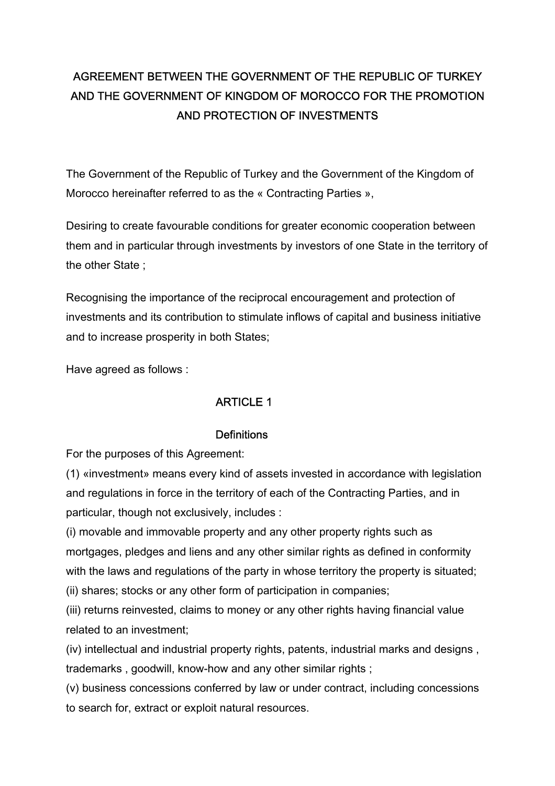# AGREEMENT BETWEEN THE GOVERNMENT OF THE REPUBLIC OF TURKEY AND THE GOVERNMENT OF KINGDOM OF MOROCCO FOR THE PROMOTION AND PROTECTION OF INVESTMENTS

The Government of the Republic of Turkey and the Government of the Kingdom of Morocco hereinafter referred to as the « Contracting Parties »,

Desiring to create favourable conditions for greater economic cooperation between them and in particular through investments by investors of one State in the territory of the other State ;

Recognising the importance of the reciprocal encouragement and protection of investments and its contribution to stimulate inflows of capital and business initiative and to increase prosperity in both States;

Have agreed as follows :

# ARTICLE 1

# **Definitions**

For the purposes of this Agreement:

(1) «investment» means every kind of assets invested in accordance with legislation and regulations in force in the territory of each of the Contracting Parties, and in particular, though not exclusively, includes :

(i) movable and immovable property and any other property rights such as mortgages, pledges and liens and any other similar rights as defined in conformity with the laws and regulations of the party in whose territory the property is situated; (ii) shares; stocks or any other form of participation in companies;

(iii) returns reinvested, claims to money or any other rights having financial value related to an investment;

(iv) intellectual and industrial property rights, patents, industrial marks and designs , trademarks , goodwill, know-how and any other similar rights ;

(v) business concessions conferred by law or under contract, including concessions to search for, extract or exploit natural resources.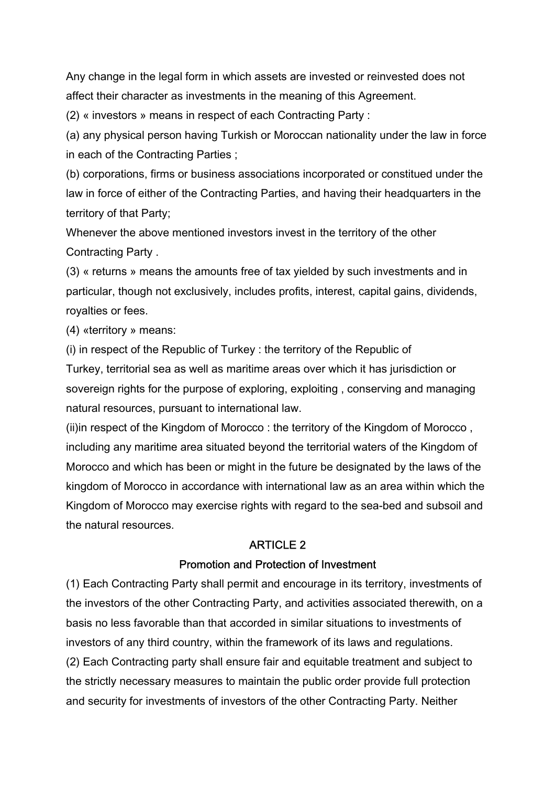Any change in the legal form in which assets are invested or reinvested does not affect their character as investments in the meaning of this Agreement.

(2) « investors » means in respect of each Contracting Party :

(a) any physical person having Turkish or Moroccan nationality under the law in force in each of the Contracting Parties ;

(b) corporations, firms or business associations incorporated or constitued under the law in force of either of the Contracting Parties, and having their headquarters in the territory of that Party;

Whenever the above mentioned investors invest in the territory of the other Contracting Party .

(3) « returns » means the amounts free of tax yielded by such investments and in particular, though not exclusively, includes profits, interest, capital gains, dividends, royalties or fees.

(4) «territory » means:

(i) in respect of the Republic of Turkey : the territory of the Republic of Turkey, territorial sea as well as maritime areas over which it has jurisdiction or sovereign rights for the purpose of exploring, exploiting , conserving and managing natural resources, pursuant to international law.

(ii)in respect of the Kingdom of Morocco : the territory of the Kingdom of Morocco , including any maritime area situated beyond the territorial waters of the Kingdom of Morocco and which has been or might in the future be designated by the laws of the kingdom of Morocco in accordance with international law as an area within which the Kingdom of Morocco may exercise rights with regard to the sea-bed and subsoil and the natural resources.

# ARTICLE 2

# Promotion and Protection of Investment

(1) Each Contracting Party shall permit and encourage in its territory, investments of the investors of the other Contracting Party, and activities associated therewith, on a basis no less favorable than that accorded in similar situations to investments of investors of any third country, within the framework of its laws and regulations. (2) Each Contracting party shall ensure fair and equitable treatment and subject to the strictly necessary measures to maintain the public order provide full protection and security for investments of investors of the other Contracting Party. Neither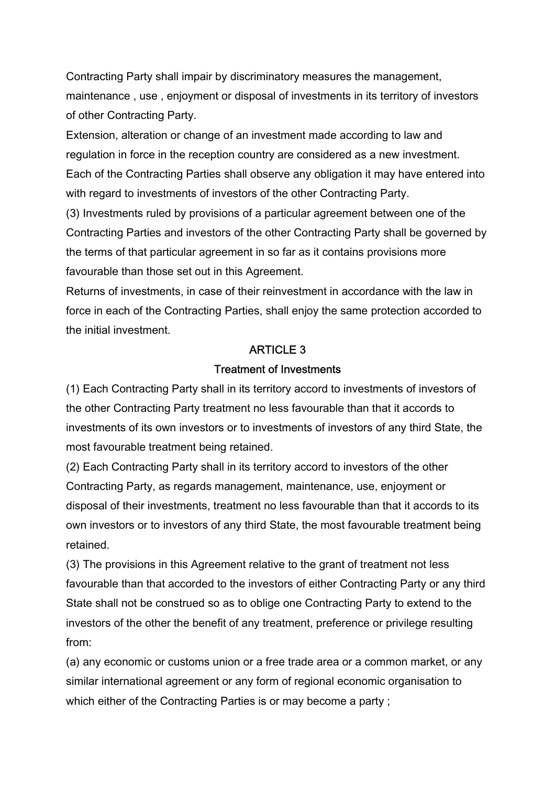Contracting Party shall impair by discriminatory measures the management, maintenance , use , enjoyment or disposal of investments in its territory of investors of other Contracting Party.

Extension, alteration or change of an investment made according to law and regulation in force in the reception country are considered as a new investment. Each of the Contracting Parties shall observe any obligation it may have entered into with regard to investments of investors of the other Contracting Party.

(3) Investments ruled by provisions of a particular agreement between one of the Contracting Parties and investors of the other Contracting Party shall be governed by the terms of that particular agreement in so far as it contains provisions more favourable than those set out in this Agreement.

Returns of investments, in case of their reinvestment in accordance with the law in force in each of the Contracting Parties, shall enjoy the same protection accorded to the initial investment.

# ARTICLE 3

### Treatment of Investments

(1) Each Contracting Party shall in its territory accord to investments of investors of the other Contracting Party treatment no less favourable than that it accords to investments of its own investors or to investments of investors of any third State, the most favourable treatment being retained.

(2) Each Contracting Party shall in its territory accord to investors of the other Contracting Party, as regards management, maintenance, use, enjoyment or disposal of their investments, treatment no less favourable than that it accords to its own investors or to investors of any third State, the most favourable treatment being retained.

(3) The provisions in this Agreement relative to the grant of treatment not less favourable than that accorded to the investors of either Contracting Party or any third State shall not be construed so as to oblige one Contracting Party to extend to the investors of the other the benefit of any treatment, preference or privilege resulting from:

(a) any economic or customs union or a free trade area or a common market, or any similar international agreement or any form of regional economic organisation to which either of the Contracting Parties is or may become a party ;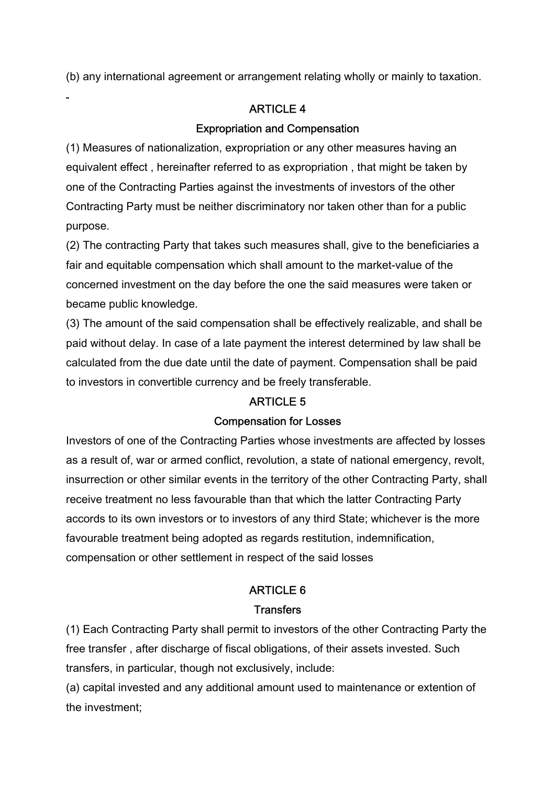(b) any international agreement or arrangement relating wholly or mainly to taxation.

# ARTICLE 4

# Expropriation and Compensation

(1) Measures of nationalization, expropriation or any other measures having an equivalent effect , hereinafter referred to as expropriation , that might be taken by one of the Contracting Parties against the investments of investors of the other Contracting Party must be neither discriminatory nor taken other than for a public purpose.

(2) The contracting Party that takes such measures shall, give to the beneficiaries a fair and equitable compensation which shall amount to the market-value of the concerned investment on the day before the one the said measures were taken or became public knowledge.

(3) The amount of the said compensation shall be effectively realizable, and shall be paid without delay. In case of a late payment the interest determined by law shall be calculated from the due date until the date of payment. Compensation shall be paid to investors in convertible currency and be freely transferable.

# ARTICLE 5

### Compensation for Losses

Investors of one of the Contracting Parties whose investments are affected by losses as a result of, war or armed conflict, revolution, a state of national emergency, revolt, insurrection or other similar events in the territory of the other Contracting Party, shall receive treatment no less favourable than that which the latter Contracting Party accords to its own investors or to investors of any third State; whichever is the more favourable treatment being adopted as regards restitution, indemnification, compensation or other settlement in respect of the said losses

# ARTICLE 6 **Transfers**

(1) Each Contracting Party shall permit to investors of the other Contracting Party the free transfer , after discharge of fiscal obligations, of their assets invested. Such transfers, in particular, though not exclusively, include:

(a) capital invested and any additional amount used to maintenance or extention of the investment;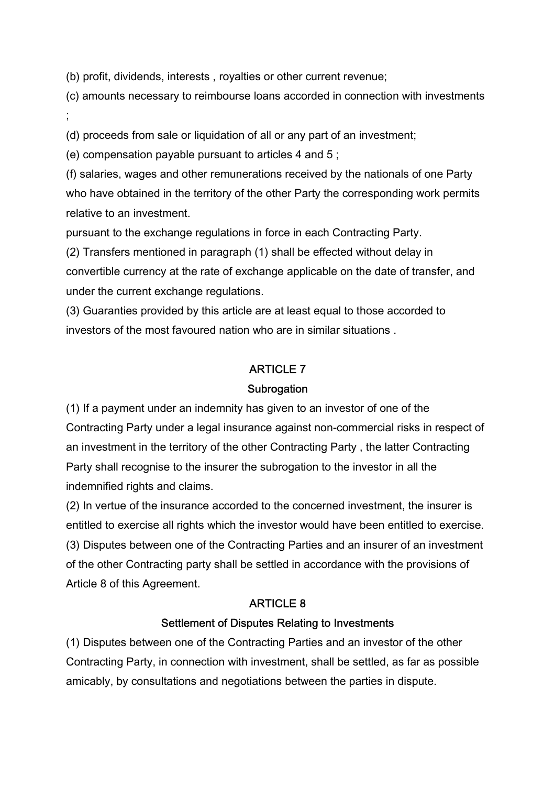(b) profit, dividends, interests , royalties or other current revenue;

(c) amounts necessary to reimbourse loans accorded in connection with investments ;

(d) proceeds from sale or liquidation of all or any part of an investment;

(e) compensation payable pursuant to articles 4 and 5 ;

(f) salaries, wages and other remunerations received by the nationals of one Party who have obtained in the territory of the other Party the corresponding work permits relative to an investment.

pursuant to the exchange regulations in force in each Contracting Party.

(2) Transfers mentioned in paragraph (1) shall be effected without delay in convertible currency at the rate of exchange applicable on the date of transfer, and under the current exchange regulations.

(3) Guaranties provided by this article are at least equal to those accorded to investors of the most favoured nation who are in similar situations .

# ARTICLE 7

### **Subrogation**

(1) If a payment under an indemnity has given to an investor of one of the Contracting Party under a legal insurance against non-commercial risks in respect of an investment in the territory of the other Contracting Party , the latter Contracting Party shall recognise to the insurer the subrogation to the investor in all the indemnified rights and claims.

(2) In vertue of the insurance accorded to the concerned investment, the insurer is entitled to exercise all rights which the investor would have been entitled to exercise. (3) Disputes between one of the Contracting Parties and an insurer of an investment of the other Contracting party shall be settled in accordance with the provisions of Article 8 of this Agreement.

### ARTICLE 8

### Settlement of Disputes Relating to Investments

(1) Disputes between one of the Contracting Parties and an investor of the other Contracting Party, in connection with investment, shall be settled, as far as possible amicably, by consultations and negotiations between the parties in dispute.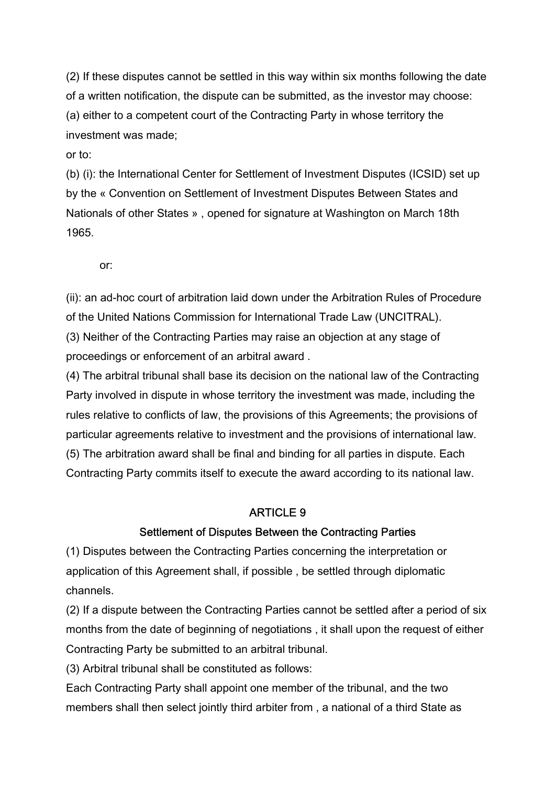(2) If these disputes cannot be settled in this way within six months following the date of a written notification, the dispute can be submitted, as the investor may choose: (a) either to a competent court of the Contracting Party in whose territory the investment was made;

or to:

(b) (i): the International Center for Settlement of Investment Disputes (ICSID) set up by the « Convention on Settlement of Investment Disputes Between States and Nationals of other States » , opened for signature at Washington on March 18th 1965.

or:

(ii): an ad-hoc court of arbitration laid down under the Arbitration Rules of Procedure of the United Nations Commission for International Trade Law (UNCITRAL). (3) Neither of the Contracting Parties may raise an objection at any stage of proceedings or enforcement of an arbitral award .

(4) The arbitral tribunal shall base its decision on the national law of the Contracting Party involved in dispute in whose territory the investment was made, including the rules relative to conflicts of law, the provisions of this Agreements; the provisions of particular agreements relative to investment and the provisions of international law. (5) The arbitration award shall be final and binding for all parties in dispute. Each Contracting Party commits itself to execute the award according to its national law.

# ARTICLE 9

# Settlement of Disputes Between the Contracting Parties

(1) Disputes between the Contracting Parties concerning the interpretation or application of this Agreement shall, if possible , be settled through diplomatic channels.

(2) If a dispute between the Contracting Parties cannot be settled after a period of six months from the date of beginning of negotiations , it shall upon the request of either Contracting Party be submitted to an arbitral tribunal.

(3) Arbitral tribunal shall be constituted as follows:

Each Contracting Party shall appoint one member of the tribunal, and the two members shall then select jointly third arbiter from , a national of a third State as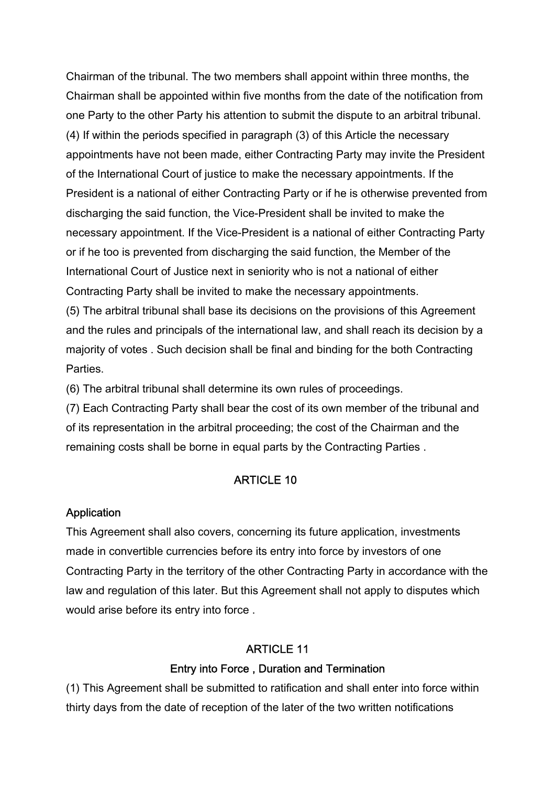Chairman of the tribunal. The two members shall appoint within three months, the Chairman shall be appointed within five months from the date of the notification from one Party to the other Party his attention to submit the dispute to an arbitral tribunal. (4) If within the periods specified in paragraph (3) of this Article the necessary appointments have not been made, either Contracting Party may invite the President of the International Court of justice to make the necessary appointments. If the President is a national of either Contracting Party or if he is otherwise prevented from discharging the said function, the Vice-President shall be invited to make the necessary appointment. If the Vice-President is a national of either Contracting Party or if he too is prevented from discharging the said function, the Member of the International Court of Justice next in seniority who is not a national of either Contracting Party shall be invited to make the necessary appointments. (5) The arbitral tribunal shall base its decisions on the provisions of this Agreement and the rules and principals of the international law, and shall reach its decision by a majority of votes . Such decision shall be final and binding for the both Contracting Parties.

(6) The arbitral tribunal shall determine its own rules of proceedings.

(7) Each Contracting Party shall bear the cost of its own member of the tribunal and of its representation in the arbitral proceeding; the cost of the Chairman and the remaining costs shall be borne in equal parts by the Contracting Parties .

#### ARTICLE 10

#### Application

This Agreement shall also covers, concerning its future application, investments made in convertible currencies before its entry into force by investors of one Contracting Party in the territory of the other Contracting Party in accordance with the law and regulation of this later. But this Agreement shall not apply to disputes which would arise before its entry into force .

### ARTICLE 11

#### Entry into Force , Duration and Termination

(1) This Agreement shall be submitted to ratification and shall enter into force within thirty days from the date of reception of the later of the two written notifications